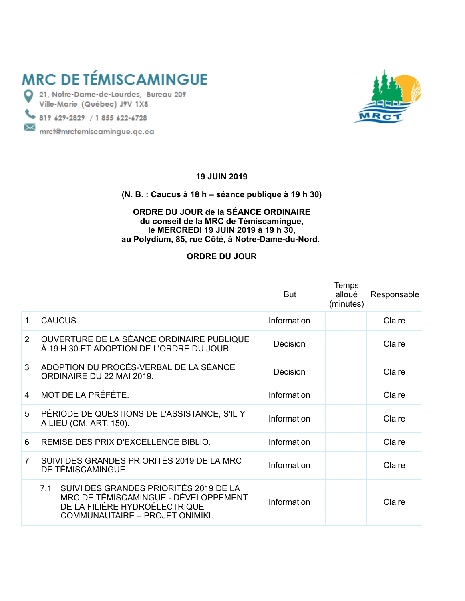# **MRC DE TÉMISCAMINGUE**

21, Notre-Dame-de-Lourdes, Bureau 209 Ville-Marie (Québec) J9V 1X8

819 629-2829 / 1 855 622-6728

 $\bowtie$  mrct@mrctemiscamingue.qc.ca



#### **19 JUIN 2019**

## **(N. B. : Caucus à 18 h – séance publique à 19 h 30)**

#### **ORDRE DU JOUR de la SÉANCE ORDINAIRE du conseil de la MRC de Témiscamingue, le MERCREDI 19 JUIN 2019 à 19 h 30, au Polydium, 85, rue Côté, à Notre-Dame-du-Nord.**

## **ORDRE DU JOUR**

|                   |                                                                                                                                                        | But         | <b>Temps</b><br>alloué<br>(minutes) | Responsable |
|-------------------|--------------------------------------------------------------------------------------------------------------------------------------------------------|-------------|-------------------------------------|-------------|
| 1                 | CAUCUS.                                                                                                                                                | Information |                                     | Claire      |
| $\overline{2}$    | OUVERTURE DE LA SÉANCE ORDINAIRE PUBLIQUE<br>À 19 H 30 ET ADOPTION DE L'ORDRE DU JOUR.                                                                 | Décision    |                                     | Claire      |
| 3                 | ADOPTION DU PROCÈS-VERBAL DE LA SÉANCE<br>ORDINAIRE DU 22 MAI 2019.                                                                                    | Décision    |                                     | Claire      |
| $\mathbf{\Delta}$ | MOT DE LA PRÉFÈTE.                                                                                                                                     | Information |                                     | Claire      |
| 5                 | PÉRIODE DE QUESTIONS DE L'ASSISTANCE, S'IL Y<br>A LIEU (CM, ART. 150).                                                                                 | Information |                                     | Claire      |
| 6                 | REMISE DES PRIX D'EXCELLENCE BIBLIO.                                                                                                                   | Information |                                     | Claire      |
| $\overline{7}$    | SUIVI DES GRANDES PRIORITÉS 2019 DE LA MRC<br>DE TÉMISCAMINGUE.                                                                                        | Information |                                     | Claire      |
|                   | 7.1 SUIVI DES GRANDES PRIORITÉS 2019 DE LA<br>MRC DE TÉMISCAMINGUE - DÉVELOPPEMENT<br>DE LA FILIÈRE HYDROÉLECTRIQUE<br>COMMUNAUTAIRE - PROJET ONIMIKI. | Information |                                     | Claire      |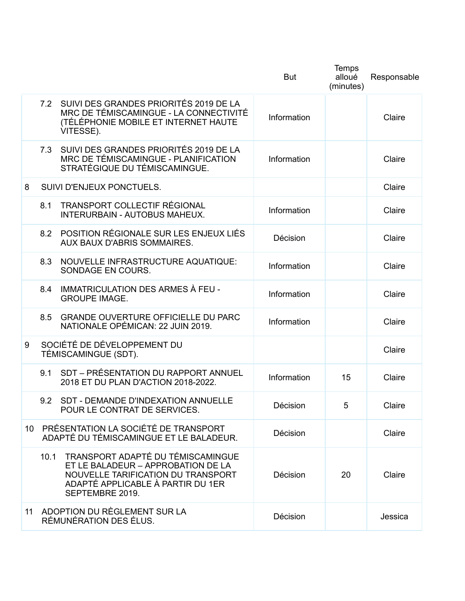|   |                                                                                                                                                                               | <b>But</b>  | Temps<br>alloué<br>(minutes) | Responsable |
|---|-------------------------------------------------------------------------------------------------------------------------------------------------------------------------------|-------------|------------------------------|-------------|
|   | 7.2 SUIVI DES GRANDES PRIORITÉS 2019 DE LA<br>MRC DE TÉMISCAMINGUE - LA CONNECTIVITÉ<br>(TÉLÉPHONIE MOBILE ET INTERNET HAUTE<br>VITESSE).                                     | Information |                              | Claire      |
|   | 7.3 SUIVI DES GRANDES PRIORITÉS 2019 DE LA<br>MRC DE TÉMISCAMINGUE - PLANIFICATION<br>STRATÉGIQUE DU TÉMISCAMINGUE.                                                           | Information |                              | Claire      |
| 8 | SUIVI D'ENJEUX PONCTUELS.                                                                                                                                                     |             |                              | Claire      |
|   | <b>TRANSPORT COLLECTIF RÉGIONAL</b><br>8.1<br>INTERURBAIN - AUTOBUS MAHEUX.                                                                                                   | Information |                              | Claire      |
|   | 8.2 POSITION RÉGIONALE SUR LES ENJEUX LIÉS<br>AUX BAUX D'ABRIS SOMMAIRES.                                                                                                     | Décision    |                              | Claire      |
|   | 8.3<br>NOUVELLE INFRASTRUCTURE AQUATIQUE:<br>SONDAGE EN COURS.                                                                                                                | Information |                              | Claire      |
|   | IMMATRICULATION DES ARMES À FEU -<br>8.4<br><b>GROUPE IMAGE.</b>                                                                                                              | Information |                              | Claire      |
|   | <b>GRANDE OUVERTURE OFFICIELLE DU PARC</b><br>8.5<br>NATIONALE OPÉMICAN: 22 JUIN 2019.                                                                                        | Information |                              | Claire      |
| 9 | SOCIÉTÉ DE DÉVELOPPEMENT DU<br>TÉMISCAMINGUE (SDT).                                                                                                                           |             |                              | Claire      |
|   | SDT - PRÉSENTATION DU RAPPORT ANNUEL<br>9.1<br>2018 ET DU PLAN D'ACTION 2018-2022.                                                                                            | Information | 15                           | Claire      |
|   | 9.2 SDT - DEMANDE D'INDEXATION ANNUELLE<br>POUR LE CONTRAT DE SERVICES.                                                                                                       | Décision    | 5                            | Claire      |
|   | 10 PRÉSENTATION LA SOCIÉTÉ DE TRANSPORT<br>ADAPTÉ DU TÉMISCAMINGUE ET LE BALADEUR.                                                                                            | Décision    |                              | Claire      |
|   | TRANSPORT ADAPTÉ DU TÉMISCAMINGUE<br>10.1<br>ET LE BALADEUR - APPROBATION DE LA<br>NOUVELLE TARIFICATION DU TRANSPORT<br>ADAPTÉ APPLICABLE À PARTIR DU 1ER<br>SEPTEMBRE 2019. | Décision    | 20                           | Claire      |
|   | 11 ADOPTION DU RÈGLEMENT SUR LA<br>RÉMUNÉRATION DES ÉLUS.                                                                                                                     | Décision    |                              | Jessica     |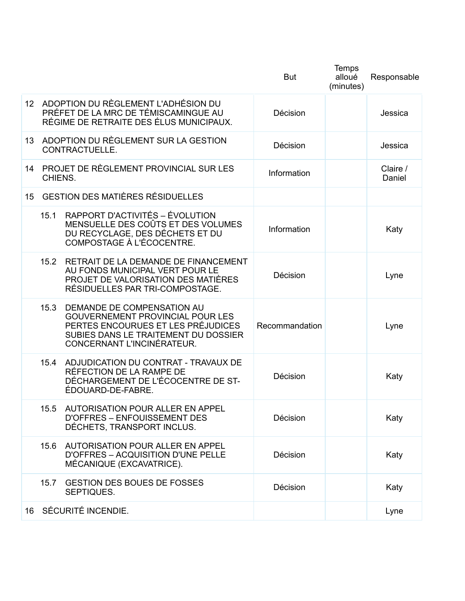|                 |                                                   |                                                                                                                                                                                   | <b>But</b>     | Temps<br>alloué<br>(minutes) | Responsable        |
|-----------------|---------------------------------------------------|-----------------------------------------------------------------------------------------------------------------------------------------------------------------------------------|----------------|------------------------------|--------------------|
| 12 <sup>1</sup> |                                                   | ADOPTION DU RÈGLEMENT L'ADHÉSION DU<br>PRÉFET DE LA MRC DE TÉMISCAMINGUE AU<br>RÉGIME DE RETRAITE DES ÉLUS MUNICIPAUX.                                                            | Décision       |                              | Jessica            |
| 13              |                                                   | ADOPTION DU RÈGLEMENT SUR LA GESTION<br>CONTRACTUELLE.                                                                                                                            | Décision       |                              | Jessica            |
| 14              | PROJET DE RÈGLEMENT PROVINCIAL SUR LES<br>CHIENS. |                                                                                                                                                                                   | Information    |                              | Claire /<br>Daniel |
| 15 <sub>1</sub> |                                                   | <b>GESTION DES MATIÈRES RÉSIDUELLES</b>                                                                                                                                           |                |                              |                    |
|                 | 15.1                                              | RAPPORT D'ACTIVITÉS – ÉVOLUTION<br>MENSUELLE DES COÛTS ET DES VOLUMES<br>DU RECYCLAGE, DES DÉCHETS ET DU<br><b>COMPOSTAGE À L'ÉCOCENTRE.</b>                                      | Information    |                              | Katy               |
|                 | 15.2                                              | RETRAIT DE LA DEMANDE DE FINANCEMENT<br>AU FONDS MUNICIPAL VERT POUR LE<br>PROJET DE VALORISATION DES MATIÈRES<br>RÉSIDUELLES PAR TRI-COMPOSTAGE.                                 | Décision       |                              | Lyne               |
|                 | 15.3                                              | DEMANDE DE COMPENSATION AU<br><b>GOUVERNEMENT PROVINCIAL POUR LES</b><br>PERTES ENCOURUES ET LES PRÉJUDICES<br>SUBIES DANS LE TRAITEMENT DU DOSSIER<br>CONCERNANT L'INCINÉRATEUR. | Recommandation |                              | Lyne               |
|                 | 15.4                                              | ADJUDICATION DU CONTRAT - TRAVAUX DE<br>RÉFECTION DE LA RAMPE DE<br>DÉCHARGEMENT DE L'ÉCOCENTRE DE ST-<br>ÉDOUARD-DE-FABRE.                                                       | Décision       |                              | Katy               |
|                 | 15.5                                              | AUTORISATION POUR ALLER EN APPEL<br>D'OFFRES - ENFOUISSEMENT DES<br>DÉCHETS, TRANSPORT INCLUS.                                                                                    | Décision       |                              | Katy               |
|                 | 15.6                                              | AUTORISATION POUR ALLER EN APPEL<br>D'OFFRES - ACQUISITION D'UNE PELLE<br>MÉCANIQUE (EXCAVATRICE).                                                                                | Décision       |                              | Katy               |
|                 | 15.7                                              | <b>GESTION DES BOUES DE FOSSES</b><br>SEPTIQUES.                                                                                                                                  | Décision       |                              | Katy               |
|                 |                                                   | 16 SÉCURITÉ INCENDIE.                                                                                                                                                             |                |                              | Lyne               |